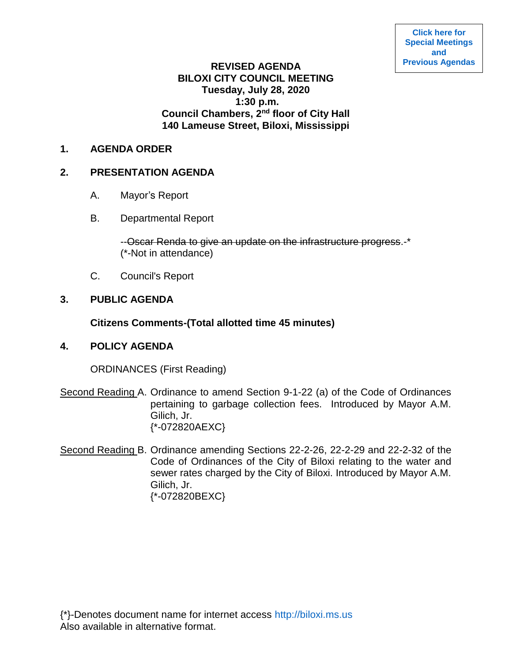### **REVISED AGENDA BILOXI CITY COUNCIL MEETING Tuesday, July 28, 2020 1:30 p.m. Council Chambers, 2nd floor of City Hall 140 Lameuse Street, Biloxi, Mississippi**

### **1. AGENDA ORDER**

# **2. PRESENTATION AGENDA**

- A. Mayor's Report
- B. Departmental Report

--Oscar Renda to give an update on the infrastructure progress.-\* (\*-Not in attendance)

C. Council's Report

# **3. PUBLIC AGENDA**

# **Citizens Comments-(Total allotted time 45 minutes)**

### **4. POLICY AGENDA**

ORDINANCES (First Reading)

- Second Reading A. Ordinance to amend Section 9-1-22 (a) of the Code of Ordinances pertaining to garbage collection fees. Introduced by Mayor A.M. Gilich, Jr. {\*-072820AEXC}
- Second Reading B. Ordinance amending Sections 22-2-26, 22-2-29 and 22-2-32 of the Code of Ordinances of the City of Biloxi relating to the water and sewer rates charged by the City of Biloxi. Introduced by Mayor A.M. Gilich, Jr. {\*-072820BEXC}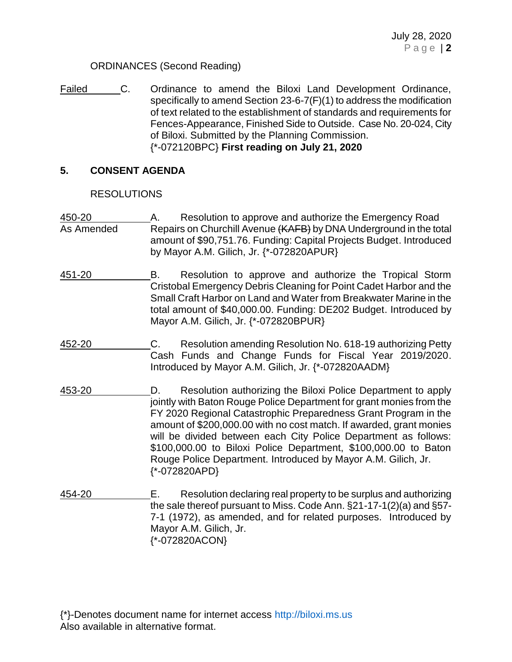### ORDINANCES (Second Reading)

Failed C. Ordinance to amend the Biloxi Land Development Ordinance, specifically to amend Section 23-6-7(F)(1) to address the modification of text related to the establishment of standards and requirements for Fences-Appearance, Finished Side to Outside. Case No. 20-024, City of Biloxi. Submitted by the Planning Commission. {\*-072120BPC} **First reading on July 21, 2020**

# **5. CONSENT AGENDA**

### RESOLUTIONS

- 450-20 A. Resolution to approve and authorize the Emergency Road As Amended Repairs on Churchill Avenue (KAFB) by DNA Underground in the total amount of \$90,751.76. Funding: Capital Projects Budget. Introduced by Mayor A.M. Gilich, Jr. {\*-072820APUR}
- 451-20 B. Resolution to approve and authorize the Tropical Storm Cristobal Emergency Debris Cleaning for Point Cadet Harbor and the Small Craft Harbor on Land and Water from Breakwater Marine in the total amount of \$40,000.00. Funding: DE202 Budget. Introduced by Mayor A.M. Gilich, Jr. {\*-072820BPUR}
- 452-20 C. Resolution amending Resolution No. 618-19 authorizing Petty Cash Funds and Change Funds for Fiscal Year 2019/2020. Introduced by Mayor A.M. Gilich, Jr. {\*-072820AADM}
- 453-20 D. Resolution authorizing the Biloxi Police Department to apply jointly with Baton Rouge Police Department for grant monies from the FY 2020 Regional Catastrophic Preparedness Grant Program in the amount of \$200,000.00 with no cost match. If awarded, grant monies will be divided between each City Police Department as follows: \$100,000.00 to Biloxi Police Department, \$100,000.00 to Baton Rouge Police Department. Introduced by Mayor A.M. Gilich, Jr. {\*-072820APD}
- 454-20 E. Resolution declaring real property to be surplus and authorizing the sale thereof pursuant to Miss. Code Ann. §21-17-1(2)(a) and §57- 7-1 (1972), as amended, and for related purposes. Introduced by Mayor A.M. Gilich, Jr. {\*-072820ACON}

{\*}-Denotes document name for internet access [http://biloxi.ms.us](http://biloxi.ms.us/) Also available in alternative format.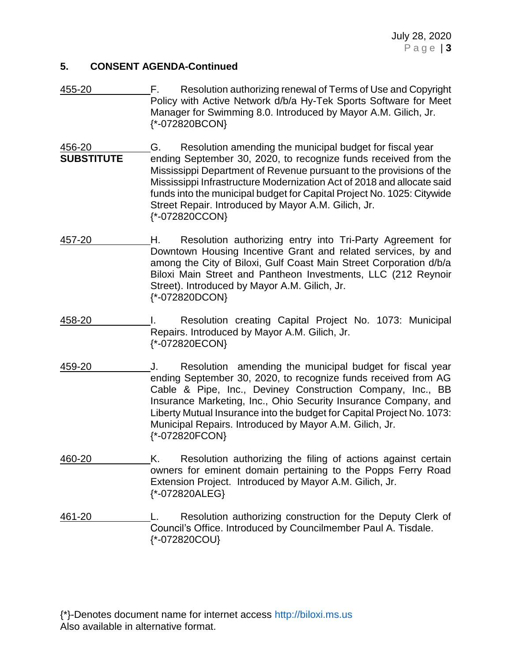#### **5. CONSENT AGENDA-Continued**

455-20 F. Resolution authorizing renewal of Terms of Use and Copyright Policy with Active Network d/b/a Hy-Tek Sports Software for Meet Manager for Swimming 8.0. Introduced by Mayor A.M. Gilich, Jr. {\*-072820BCON}

456-20 G. Resolution amending the municipal budget for fiscal year **SUBSTITUTE** ending September 30, 2020, to recognize funds received from the Mississippi Department of Revenue pursuant to the provisions of the Mississippi Infrastructure Modernization Act of 2018 and allocate said funds into the municipal budget for Capital Project No. 1025: Citywide Street Repair. Introduced by Mayor A.M. Gilich, Jr. {\*-072820CCON}

- 457-20 H. Resolution authorizing entry into Tri-Party Agreement for Downtown Housing Incentive Grant and related services, by and among the City of Biloxi, Gulf Coast Main Street Corporation d/b/a Biloxi Main Street and Pantheon Investments, LLC (212 Reynoir Street). Introduced by Mayor A.M. Gilich, Jr. {\*-072820DCON}
- 458-20 I. Resolution creating Capital Project No. 1073: Municipal Repairs. Introduced by Mayor A.M. Gilich, Jr. {\*-072820ECON}
- 459-20 J. Resolution amending the municipal budget for fiscal year ending September 30, 2020, to recognize funds received from AG Cable & Pipe, Inc., Deviney Construction Company, Inc., BB Insurance Marketing, Inc., Ohio Security Insurance Company, and Liberty Mutual Insurance into the budget for Capital Project No. 1073: Municipal Repairs. Introduced by Mayor A.M. Gilich, Jr. {\*-072820FCON}
- 460-20 K. Resolution authorizing the filing of actions against certain owners for eminent domain pertaining to the Popps Ferry Road Extension Project. Introduced by Mayor A.M. Gilich, Jr. {\*-072820ALEG}

461-20 L. Resolution authorizing construction for the Deputy Clerk of Council's Office. Introduced by Councilmember Paul A. Tisdale. {\*-072820COU}

{\*}-Denotes document name for internet access [http://biloxi.ms.us](http://biloxi.ms.us/) Also available in alternative format.